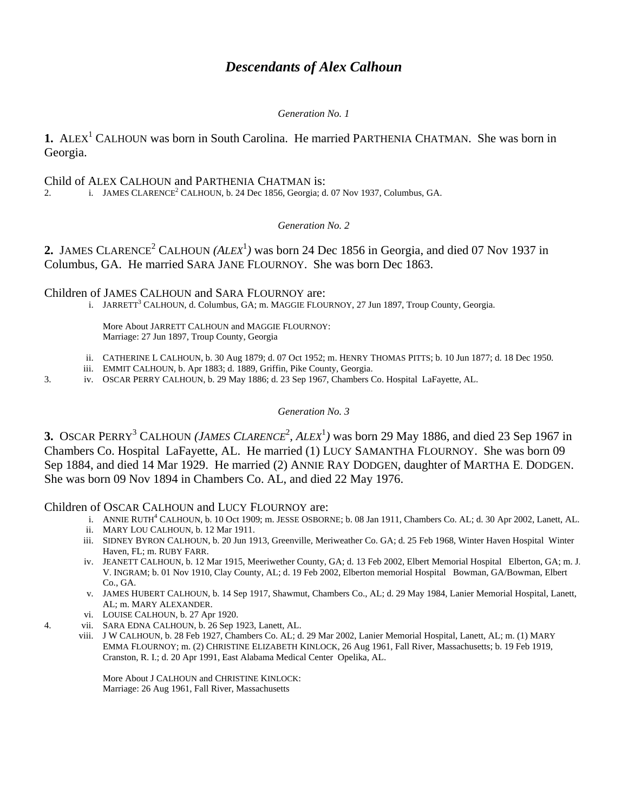# *Descendants of Alex Calhoun*

## *Generation No. 1*

**1.** ALEX<sup>1</sup> CALHOUN was born in South Carolina. He married PARTHENIA CHATMAN. She was born in Georgia.

# Child of ALEX CALHOUN and PARTHENIA CHATMAN is:

2. i. JAMES CLARENCE<sup>2</sup> CALHOUN, b. 24 Dec 1856, Georgia; d. 07 Nov 1937, Columbus, GA.

# *Generation No. 2*

**2.** JAMES CLARENCE<sup>2</sup> CALHOUN (*ALEX*<sup>1</sup>) was born 24 Dec 1856 in Georgia, and died 07 Nov 1937 in Columbus, GA. He married SARA JANE FLOURNOY. She was born Dec 1863.

Children of JAMES CALHOUN and SARA FLOURNOY are:

i. JARRETT<sup>3</sup> CALHOUN, d. Columbus, GA; m. MAGGIE FLOURNOY, 27 Jun 1897, Troup County, Georgia.

More About JARRETT CALHOUN and MAGGIE FLOURNOY: Marriage: 27 Jun 1897, Troup County, Georgia

- ii. CATHERINE L CALHOUN, b. 30 Aug 1879; d. 07 Oct 1952; m. HENRY THOMAS PITTS; b. 10 Jun 1877; d. 18 Dec 1950.
- iii. EMMIT CALHOUN, b. Apr 1883; d. 1889, Griffin, Pike County, Georgia.
- 3. iv. OSCAR PERRY CALHOUN, b. 29 May 1886; d. 23 Sep 1967, Chambers Co. Hospital LaFayette, AL.

#### *Generation No. 3*

**3.** OSCAR PERRY<sup>3</sup> CALHOUN (*JAMES CLARENCE*<sup>2</sup>, *ALEX*<sup>1</sup>) was born 29 May 1886, and died 23 Sep 1967 in Chambers Co. Hospital LaFayette, AL. He married (1) LUCY SAMANTHA FLOURNOY. She was born 09 Sep 1884, and died 14 Mar 1929. He married (2) ANNIE RAY DODGEN, daughter of MARTHA E. DODGEN. She was born 09 Nov 1894 in Chambers Co. AL, and died 22 May 1976.

Children of OSCAR CALHOUN and LUCY FLOURNOY are:

- i. ANNIE RUTH<sup>4</sup> CALHOUN, b. 10 Oct 1909; m. JESSE OSBORNE; b. 08 Jan 1911, Chambers Co. AL; d. 30 Apr 2002, Lanett, AL.
	- ii. MARY LOU CALHOUN, b. 12 Mar 1911.
	- iii. SIDNEY BYRON CALHOUN, b. 20 Jun 1913, Greenville, Meriweather Co. GA; d. 25 Feb 1968, Winter Haven Hospital Winter Haven, FL; m. RUBY FARR.
	- iv. JEANETT CALHOUN, b. 12 Mar 1915, Meeriwether County, GA; d. 13 Feb 2002, Elbert Memorial Hospital Elberton, GA; m. J. V. INGRAM; b. 01 Nov 1910, Clay County, AL; d. 19 Feb 2002, Elberton memorial Hospital Bowman, GA/Bowman, Elbert Co., GA.
	- v. JAMES HUBERT CALHOUN, b. 14 Sep 1917, Shawmut, Chambers Co., AL; d. 29 May 1984, Lanier Memorial Hospital, Lanett, AL; m. MARY ALEXANDER.
	- vi. LOUISE CALHOUN, b. 27 Apr 1920.
- 4. vii. SARA EDNA CALHOUN, b. 26 Sep 1923, Lanett, AL.
	- viii. J W CALHOUN, b. 28 Feb 1927, Chambers Co. AL; d. 29 Mar 2002, Lanier Memorial Hospital, Lanett, AL; m. (1) MARY EMMA FLOURNOY; m. (2) CHRISTINE ELIZABETH KINLOCK, 26 Aug 1961, Fall River, Massachusetts; b. 19 Feb 1919, Cranston, R. I.; d. 20 Apr 1991, East Alabama Medical Center Opelika, AL.

More About J CALHOUN and CHRISTINE KINLOCK: Marriage: 26 Aug 1961, Fall River, Massachusetts